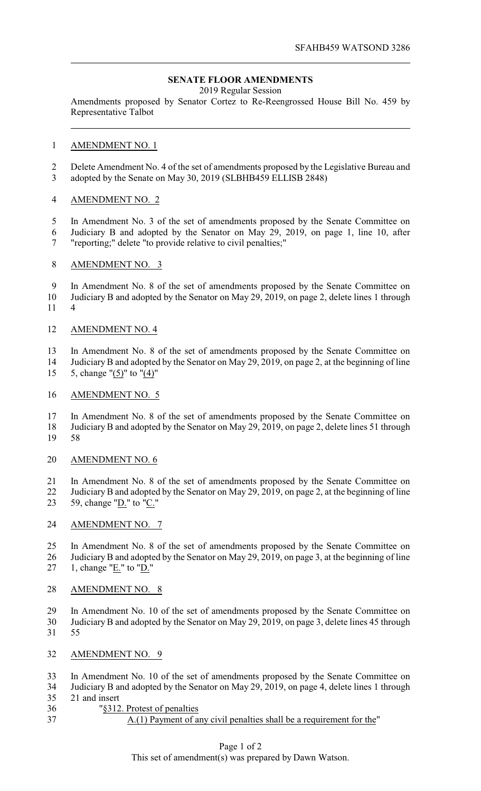# **SENATE FLOOR AMENDMENTS**

2019 Regular Session

Amendments proposed by Senator Cortez to Re-Reengrossed House Bill No. 459 by Representative Talbot

### AMENDMENT NO. 1

 Delete Amendment No. 4 of the set of amendments proposed by the Legislative Bureau and adopted by the Senate on May 30, 2019 (SLBHB459 ELLISB 2848)

# AMENDMENT NO. 2

 In Amendment No. 3 of the set of amendments proposed by the Senate Committee on Judiciary B and adopted by the Senator on May 29, 2019, on page 1, line 10, after "reporting;" delete "to provide relative to civil penalties;"

### AMENDMENT NO. 3

 In Amendment No. 8 of the set of amendments proposed by the Senate Committee on Judiciary B and adopted by the Senator on May 29, 2019, on page 2, delete lines 1 through 4

#### AMENDMENT NO. 4

 In Amendment No. 8 of the set of amendments proposed by the Senate Committee on Judiciary B and adopted by the Senator on May 29, 2019, on page 2, at the beginning of line

5, change "(5)" to "(4)"

#### AMENDMENT NO. 5

 In Amendment No. 8 of the set of amendments proposed by the Senate Committee on Judiciary B and adopted by the Senator on May 29, 2019, on page 2, delete lines 51 through 58

### AMENDMENT NO. 6

In Amendment No. 8 of the set of amendments proposed by the Senate Committee on

22 Judiciary B and adopted by the Senator on May 29, 2019, on page 2, at the beginning of line 59, change "D." to "C."

#### AMENDMENT NO. 7

 In Amendment No. 8 of the set of amendments proposed by the Senate Committee on Judiciary B and adopted by the Senator on May 29, 2019, on page 3, at the beginning of line

27 1, change " $E$ ." to " $D$ ."

# AMENDMENT NO. 8

 In Amendment No. 10 of the set of amendments proposed by the Senate Committee on Judiciary B and adopted by the Senator on May 29, 2019, on page 3, delete lines 45 through 55

- AMENDMENT NO. 9
- In Amendment No. 10 of the set of amendments proposed by the Senate Committee on
- Judiciary B and adopted by the Senator on May 29, 2019, on page 4, delete lines 1 through 21 and insert
- "§312. Protest of penalties
- 

# A.(1) Payment of any civil penalties shall be a requirement for the"

# Page 1 of 2

This set of amendment(s) was prepared by Dawn Watson.